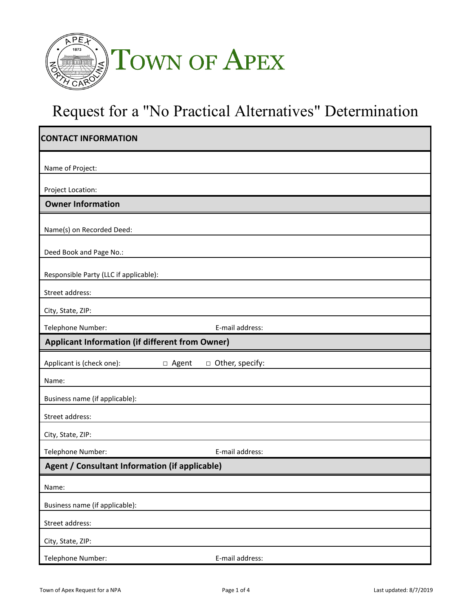

# Request for a "No Practical Alternatives" Determination

| <b>CONTACT INFORMATION</b>                             |                   |  |
|--------------------------------------------------------|-------------------|--|
| Name of Project:                                       |                   |  |
| Project Location:                                      |                   |  |
| <b>Owner Information</b>                               |                   |  |
| Name(s) on Recorded Deed:                              |                   |  |
| Deed Book and Page No.:                                |                   |  |
| Responsible Party (LLC if applicable):                 |                   |  |
| Street address:                                        |                   |  |
| City, State, ZIP:                                      |                   |  |
| Telephone Number:                                      | E-mail address:   |  |
| <b>Applicant Information (if different from Owner)</b> |                   |  |
| Applicant is (check one):<br>□ Agent                   | □ Other, specify: |  |
|                                                        |                   |  |
| Name:                                                  |                   |  |
| Business name (if applicable):                         |                   |  |
| Street address:                                        |                   |  |
| City, State, ZIP:                                      |                   |  |
| Telephone Number:                                      | E-mail address:   |  |
| Agent / Consultant Information (if applicable)         |                   |  |
| Name:                                                  |                   |  |
| Business name (if applicable):                         |                   |  |
| Street address:                                        |                   |  |
| City, State, ZIP:                                      |                   |  |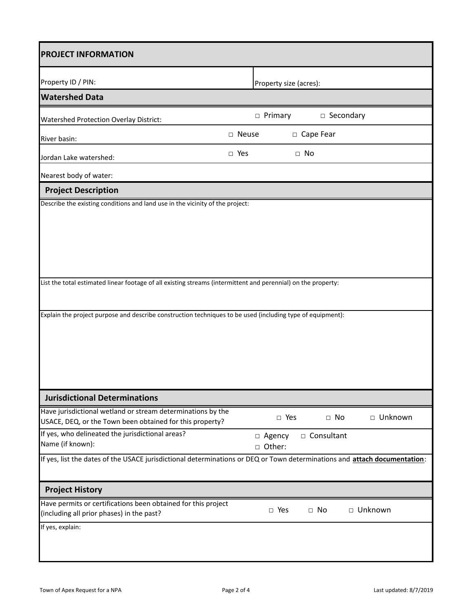| <b>PROJECT INFORMATION</b>                                                                                                                                                                                                  |            |                        |              |           |
|-----------------------------------------------------------------------------------------------------------------------------------------------------------------------------------------------------------------------------|------------|------------------------|--------------|-----------|
| Property ID / PIN:                                                                                                                                                                                                          |            | Property size (acres): |              |           |
| <b>Watershed Data</b>                                                                                                                                                                                                       |            |                        |              |           |
| <b>Watershed Protection Overlay District:</b>                                                                                                                                                                               |            | $\Box$ Primary         | □ Secondary  |           |
| River basin:                                                                                                                                                                                                                | □ Neuse    |                        | □ Cape Fear  |           |
| Jordan Lake watershed:                                                                                                                                                                                                      | $\Box$ Yes |                        | $\Box$ No    |           |
| Nearest body of water:                                                                                                                                                                                                      |            |                        |              |           |
| <b>Project Description</b>                                                                                                                                                                                                  |            |                        |              |           |
| List the total estimated linear footage of all existing streams (intermittent and perennial) on the property:<br>Explain the project purpose and describe construction techniques to be used (including type of equipment): |            |                        |              |           |
| <b>Jurisdictional Determinations</b>                                                                                                                                                                                        |            |                        |              |           |
| Have jurisdictional wetland or stream determinations by the<br>USACE, DEQ, or the Town been obtained for this property?                                                                                                     |            | $\Box$ Yes             | $\Box$ No    | □ Unknown |
| If yes, who delineated the jurisdictional areas?<br>Name (if known):                                                                                                                                                        |            | □ Agency<br>□ Other:   | □ Consultant |           |
| If yes, list the dates of the USACE jurisdictional determinations or DEQ or Town determinations and attach documentation:                                                                                                   |            |                        |              |           |
| <b>Project History</b>                                                                                                                                                                                                      |            |                        |              |           |
| Have permits or certifications been obtained for this project<br>(including all prior phases) in the past?                                                                                                                  |            | $\Box$ Yes             | $\Box$ No    | □ Unknown |
| If yes, explain:                                                                                                                                                                                                            |            |                        |              |           |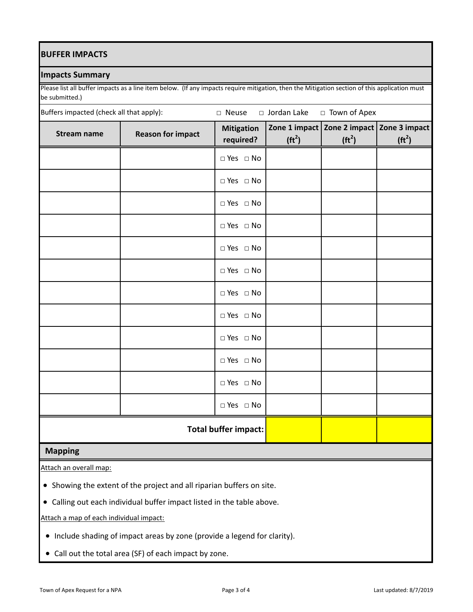## **BUFFER IMPACTS**

## **Impacts Summary**

Please list all buffer impacts as a line item below. (If any impacts require mitigation, then the Mitigation section of this application must be submitted.)

| Buffers impacted (check all that apply): |                          | □ Neuse                        | □ Jordan Lake      | □ Town of Apex                               |                                     |
|------------------------------------------|--------------------------|--------------------------------|--------------------|----------------------------------------------|-------------------------------------|
| <b>Stream name</b>                       | <b>Reason for impact</b> | <b>Mitigation</b><br>required? | (tf <sup>2</sup> ) | Zone 1 impact   Zone 2 impact  <br>$(tft^2)$ | Zone 3 impact<br>(tf <sup>2</sup> ) |
|                                          |                          | $\Box$ Yes $\Box$ No           |                    |                                              |                                     |
|                                          |                          | $\Box$ Yes $\Box$ No           |                    |                                              |                                     |
|                                          |                          | $\Box$ Yes $\Box$ No           |                    |                                              |                                     |
|                                          |                          | $\Box$ Yes $\Box$ No           |                    |                                              |                                     |
|                                          |                          | $\Box$ Yes $\Box$ No           |                    |                                              |                                     |
|                                          |                          | $\Box$ Yes $\Box$ No           |                    |                                              |                                     |
|                                          |                          | $\Box$ Yes $\Box$ No           |                    |                                              |                                     |
|                                          |                          | $\Box$ Yes $\Box$ No           |                    |                                              |                                     |
|                                          |                          | $\Box$ Yes $\Box$ No           |                    |                                              |                                     |
|                                          |                          | $\Box$ Yes $\Box$ No           |                    |                                              |                                     |
|                                          |                          | $\Box$ Yes $\Box$ No           |                    |                                              |                                     |
|                                          |                          | $\Box$ Yes $\Box$ No           |                    |                                              |                                     |
|                                          |                          | <b>Total buffer impact:</b>    |                    |                                              |                                     |

# **Mapping**

Attach an overall map:

- Showing the extent of the project and all riparian buffers on site.
- Calling out each individual buffer impact listed in the table above.

Attach a map of each individual impact:

- Include shading of impact areas by zone (provide a legend for clarity).
- Call out the total area (SF) of each impact by zone.